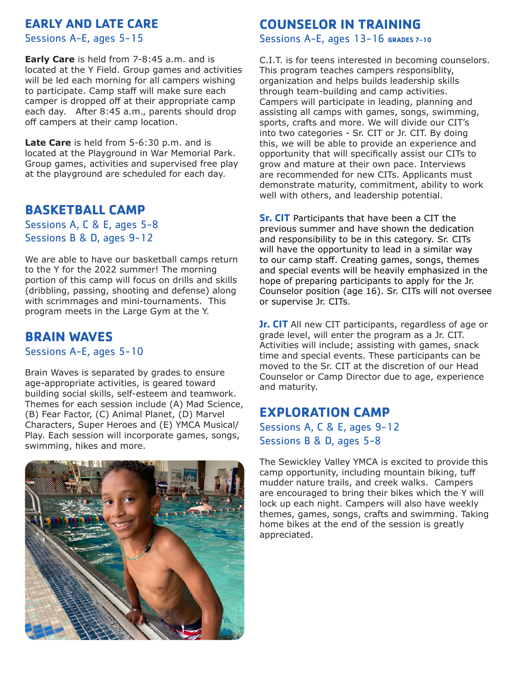# **EARLY AND LATE CARE**

Sessions A-E, ages 5-15

**Early Care** is held from 7-8:45 a.m. and is located at the Y Field. Group games and activities will be led each morning for all campers wishing to participate. Camp staff will make sure each camper is dropped off at their appropriate camp each day. After 8:45 a.m., parents should drop off campers at their camp location.

**Late Care** is held from 5-6:30 p.m. and is located at the Playground in War Memorial Park. Group games, activities and supervised free play at the playground are scheduled for each day.

#### **BASKETBALL CAMP**

Sessions A, C & E, ages 5-8 Sessions B & D, ages 9-12

We are able to have our basketball camps return to the Y for the 2022 summer! The morning portion of this camp will focus on drills and skills (dribbling, passing, shooting and defense) along with scrimmages and mini-tournaments. This program meets in the Large Gym at the Y.

#### **BRAIN WAVES**

Sessions A-E, ages 5-10

Brain Waves is separated by grades to ensure age-appropriate activities, is geared toward building social skills, self-esteem and teamwork. Themes for each session include (A) Mad Science, (B) Fear Factor, (C) Animal Planet, (D) Marvel Characters, Super Heroes and (E) YMCA Musical/ Play. Each session will incorporate games, songs, swimming, hikes and more.



### **COUNSELOR IN TRAINING**

Sessions A-E, ages 13-16 **GRADES 7-10**

C.I.T. is for teens interested in becoming counselors. This program teaches campers responsiblity, organization and helps builds leadership skills through team-building and camp activities. Campers will participate in leading, planning and assisting all camps with games, songs, swimming, sports, crafts and more. We will divide our CIT's into two categories - Sr. CIT or Jr. CIT. By doing this, we will be able to provide an experience and opportunity that will specifically assist our CITs to grow and mature at their own pace. Interviews are recommended for new CITs. Applicants must demonstrate maturity, commitment, ability to work well with others, and leadership potential.

**Sr. CIT** Participants that have been a CIT the previous summer and have shown the dedication and responsibility to be in this category. Sr. CITs will have the opportunity to lead in a similar way to our camp staff. Creating games, songs, themes and special events will be heavily emphasized in the hope of preparing participants to apply for the Jr. Counselor position (age 16). Sr. CITs will not oversee or supervise Jr. CITs.

**Jr. CIT** All new CIT participants, regardless of age or grade level, will enter the program as a Jr. CIT. Activities will include; assisting with games, snack time and special events. These participants can be moved to the Sr. CIT at the discretion of our Head Counselor or Camp Director due to age, experience and maturity.

### **EXPLORATION CAMP**

Sessions A, C & E, ages 9-12 Sessions B & D, ages 5-8

The Sewickley Valley YMCA is excited to provide this camp opportunity, including mountain biking, tuff mudder nature trails, and creek walks. Campers are encouraged to bring their bikes which the Y will lock up each night. Campers will also have weekly themes, games, songs, crafts and swimming. Taking home bikes at the end of the session is greatly appreciated.